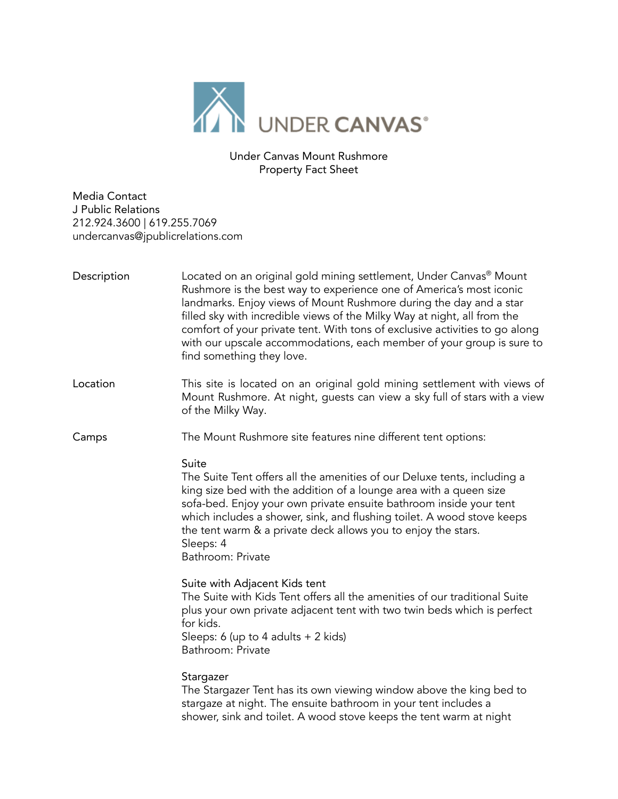

Under Canvas Mount Rushmore Property Fact Sheet

Media Contact J Public Relations 212.924.3600 | 619.255.7069 undercanvas@jpublicrelations.com

| Description | Located on an original gold mining settlement, Under Canvas <sup>®</sup> Mount<br>Rushmore is the best way to experience one of America's most iconic<br>landmarks. Enjoy views of Mount Rushmore during the day and a star<br>filled sky with incredible views of the Milky Way at night, all from the<br>comfort of your private tent. With tons of exclusive activities to go along<br>with our upscale accommodations, each member of your group is sure to<br>find something they love. |
|-------------|----------------------------------------------------------------------------------------------------------------------------------------------------------------------------------------------------------------------------------------------------------------------------------------------------------------------------------------------------------------------------------------------------------------------------------------------------------------------------------------------|
| Location    | This site is located on an original gold mining settlement with views of<br>Mount Rushmore. At night, guests can view a sky full of stars with a view<br>of the Milky Way.                                                                                                                                                                                                                                                                                                                   |
| Camps       | The Mount Rushmore site features nine different tent options:                                                                                                                                                                                                                                                                                                                                                                                                                                |
|             | Suite<br>The Suite Tent offers all the amenities of our Deluxe tents, including a<br>king size bed with the addition of a lounge area with a queen size<br>sofa-bed. Enjoy your own private ensuite bathroom inside your tent<br>which includes a shower, sink, and flushing toilet. A wood stove keeps<br>the tent warm & a private deck allows you to enjoy the stars.<br>Sleeps: 4<br>Bathroom: Private                                                                                   |
|             | Suite with Adjacent Kids tent<br>The Suite with Kids Tent offers all the amenities of our traditional Suite<br>plus your own private adjacent tent with two twin beds which is perfect<br>for kids.<br>Sleeps: 6 (up to 4 adults $+ 2$ kids)<br>Bathroom: Private                                                                                                                                                                                                                            |
|             | Stargazer<br>The Stargazer Tent has its own viewing window above the king bed to<br>stargaze at night. The ensuite bathroom in your tent includes a<br>shower, sink and toilet. A wood stove keeps the tent warm at night                                                                                                                                                                                                                                                                    |
|             |                                                                                                                                                                                                                                                                                                                                                                                                                                                                                              |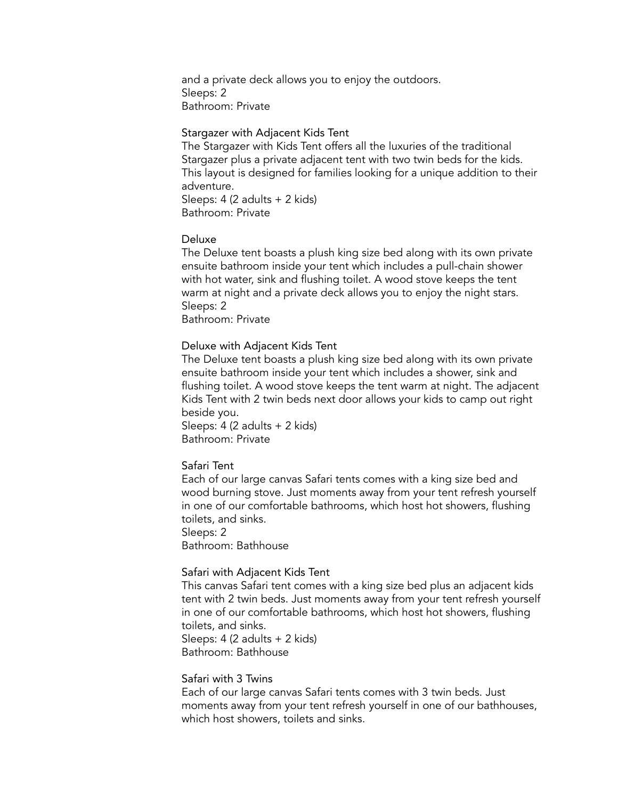and a private deck allows you to enjoy the outdoors. Sleeps: 2 Bathroom: Private

#### Stargazer with Adjacent Kids Tent

The Stargazer with Kids Tent offers all the luxuries of the traditional Stargazer plus a private adjacent tent with two twin beds for the kids. This layout is designed for families looking for a unique addition to their adventure. Sleeps: 4 (2 adults + 2 kids) Bathroom: Private

#### Deluxe

The Deluxe tent boasts a plush king size bed along with its own private ensuite bathroom inside your tent which includes a pull-chain shower with hot water, sink and flushing toilet. A wood stove keeps the tent warm at night and a private deck allows you to enjoy the night stars. Sleeps: 2

Bathroom: Private

### Deluxe with Adjacent Kids Tent

The Deluxe tent boasts a plush king size bed along with its own private ensuite bathroom inside your tent which includes a shower, sink and flushing toilet. A wood stove keeps the tent warm at night. The adjacent Kids Tent with 2 twin beds next door allows your kids to camp out right beside you.

Sleeps: 4 (2 adults + 2 kids) Bathroom: Private

### Safari Tent

Each of our large canvas Safari tents comes with a king size bed and wood burning stove. Just moments away from your tent refresh yourself in one of our comfortable bathrooms, which host hot showers, flushing toilets, and sinks.

Sleeps: 2

Bathroom: Bathhouse

#### Safari with Adjacent Kids Tent

This canvas Safari tent comes with a king size bed plus an adjacent kids tent with 2 twin beds. Just moments away from your tent refresh yourself in one of our comfortable bathrooms, which host hot showers, flushing toilets, and sinks.

Sleeps: 4 (2 adults + 2 kids) Bathroom: Bathhouse

### Safari with 3 Twins

Each of our large canvas Safari tents comes with 3 twin beds. Just moments away from your tent refresh yourself in one of our bathhouses, which host showers, toilets and sinks.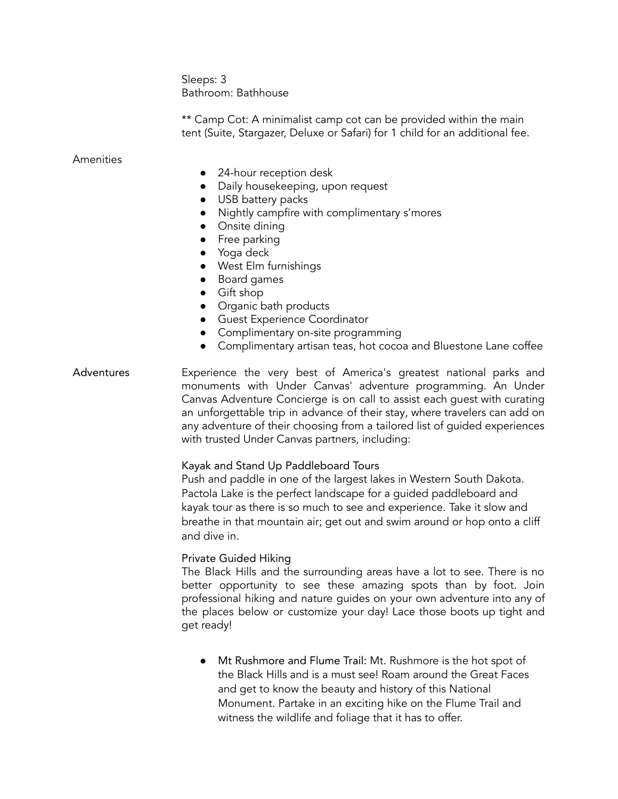Sleeps: 3 Bathroom: Bathhouse

\*\* Camp Cot: A minimalist camp cot can be provided within the main tent (Suite, Stargazer, Deluxe or Safari) for 1 child for an additional fee.

### Amenities

- 24-hour reception desk
- Daily housekeeping, upon request
- USB battery packs
- Nightly campfire with complimentary s'mores
- Onsite dining
- Free parking
- Yoga deck
- West Elm furnishings
- Board games
- Gift shop
- Organic bath products
- **•** Guest Experience Coordinator
- Complimentary on-site programming
- Complimentary artisan teas, hot cocoa and Bluestone Lane coffee

## Adventures Experience the very best of America's greatest national parks and monuments with Under Canvas' adventure programming. An Under Canvas Adventure Concierge is on call to assist each guest with curating an unforgettable trip in advance of their stay, where travelers can add on any adventure of their choosing from a tailored list of guided experiences with trusted Under Canvas partners, including:

### Kayak and Stand Up Paddleboard Tours

Push and paddle in one of the largest lakes in Western South Dakota. Pactola Lake is the perfect landscape for a guided paddleboard and kayak tour as there is so much to see and experience. Take it slow and breathe in that mountain air; get out and swim around or hop onto a cliff and dive in.

### Private Guided Hiking

The Black Hills and the surrounding areas have a lot to see. There is no better opportunity to see these amazing spots than by foot. Join professional hiking and nature guides on your own adventure into any of the places below or customize your day! Lace those boots up tight and get ready!

**●** Mt Rushmore and Flume Trail: Mt. Rushmore is the hot spot of the Black Hills and is a must see! Roam around the Great Faces and get to know the beauty and history of this National Monument. Partake in an exciting hike on the Flume Trail and witness the wildlife and foliage that it has to offer.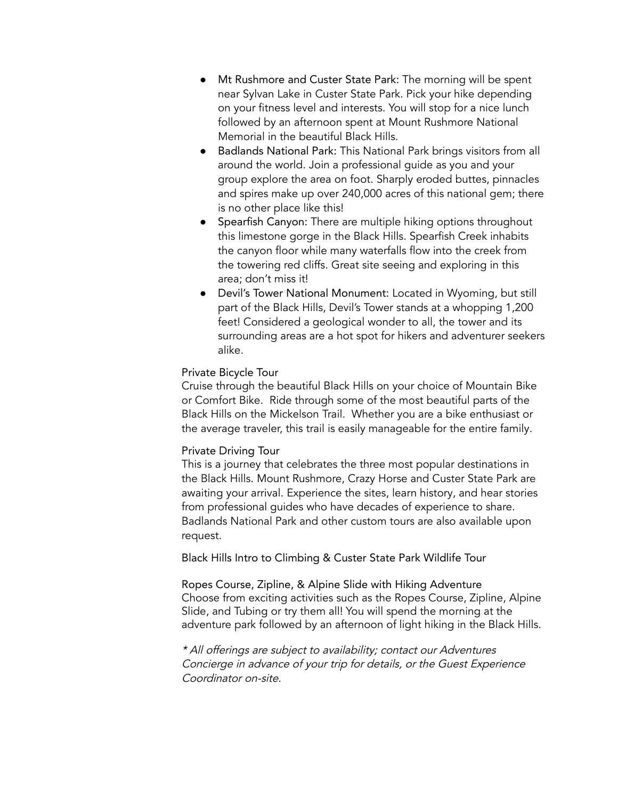- **●** Mt Rushmore and Custer State Park: The morning will be spent near Sylvan Lake in Custer State Park. Pick your hike depending on your fitness level and interests. You will stop for a nice lunch followed by an afternoon spent at Mount Rushmore National Memorial in the beautiful Black Hills.
- **●** Badlands National Park: This National Park brings visitors from all around the world. Join a professional guide as you and your group explore the area on foot. Sharply eroded buttes, pinnacles and spires make up over 240,000 acres of this national gem; there is no other place like this!
- **●** Spearfish Canyon: There are multiple hiking options throughout this limestone gorge in the Black Hills. Spearfish Creek inhabits the canyon floor while many waterfalls flow into the creek from the towering red cliffs. Great site seeing and exploring in this area; don't miss it!
- **●** Devil's Tower National Monument: Located in Wyoming, but still part of the Black Hills, Devil's Tower stands at a whopping 1,200 feet! Considered a geological wonder to all, the tower and its surrounding areas are a hot spot for hikers and adventurer seekers alike.

## Private Bicycle Tour

Cruise through the beautiful Black Hills on your choice of Mountain Bike or Comfort Bike. Ride through some of the most beautiful parts of the Black Hills on the Mickelson Trail. Whether you are a bike enthusiast or the average traveler, this trail is easily manageable for the entire family.

### Private Driving Tour

This is a journey that celebrates the three most popular destinations in the Black Hills. Mount Rushmore, Crazy Horse and Custer State Park are awaiting your arrival. Experience the sites, learn history, and hear stories from professional guides who have decades of experience to share. Badlands National Park and other custom tours are also available upon request.

Black Hills Intro to Climbing & Custer State Park Wildlife Tour

Ropes Course, Zipline, & Alpine Slide with Hiking Adventure Choose from exciting activities such as the Ropes Course, Zipline, Alpine Slide, and Tubing or try them all! You will spend the morning at the adventure park followed by an afternoon of light hiking in the Black Hills.

\* All offerings are subject to availability; contact our Adventures Concierge in advance of your trip for details, or the Guest Experience Coordinator on-site.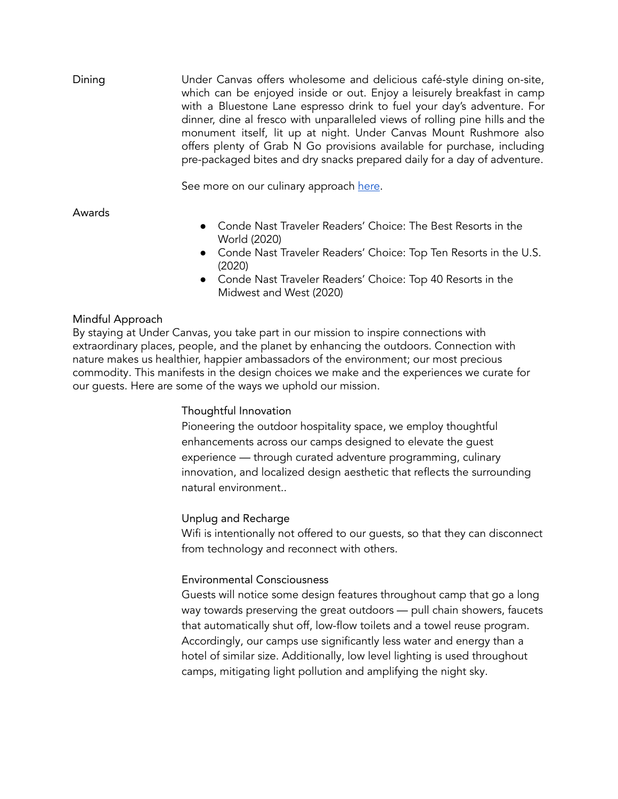Dining Under Canvas offers wholesome and delicious café-style dining on-site, which can be enjoyed inside or out. Enjoy a leisurely breakfast in camp with a Bluestone Lane espresso drink to fuel your day's adventure. For dinner, dine al fresco with unparalleled views of rolling pine hills and the monument itself, lit up at night. Under Canvas Mount Rushmore also offers plenty of Grab N Go provisions available for purchase, including pre-packaged bites and dry snacks prepared daily for a day of adventure.

See more on our culinary approach [here](https://www.undercanvas.com/culinary/).

Awards

- Conde Nast Traveler Readers' Choice: The Best Resorts in the World (2020)
- Conde Nast Traveler Readers' Choice: Top Ten Resorts in the U.S. (2020)
- Conde Nast Traveler Readers' Choice: Top 40 Resorts in the Midwest and West (2020)

# Mindful Approach

By staying at Under Canvas, you take part in our mission to inspire connections with extraordinary places, people, and the planet by enhancing the outdoors. Connection with nature makes us healthier, happier ambassadors of the environment; our most precious commodity. This manifests in the design choices we make and the experiences we curate for our guests. Here are some of the ways we uphold our mission.

## Thoughtful Innovation

Pioneering the outdoor hospitality space, we employ thoughtful enhancements across our camps designed to elevate the guest experience — through curated adventure programming, culinary innovation, and localized design aesthetic that reflects the surrounding natural environment..

## Unplug and Recharge

Wifi is intentionally not offered to our guests, so that they can disconnect from technology and reconnect with others.

# Environmental Consciousness

Guests will notice some design features throughout camp that go a long way towards preserving the great outdoors — pull chain showers, faucets that automatically shut off, low-flow toilets and a towel reuse program. Accordingly, our camps use significantly less water and energy than a hotel of similar size. Additionally, low level lighting is used throughout camps, mitigating light pollution and amplifying the night sky.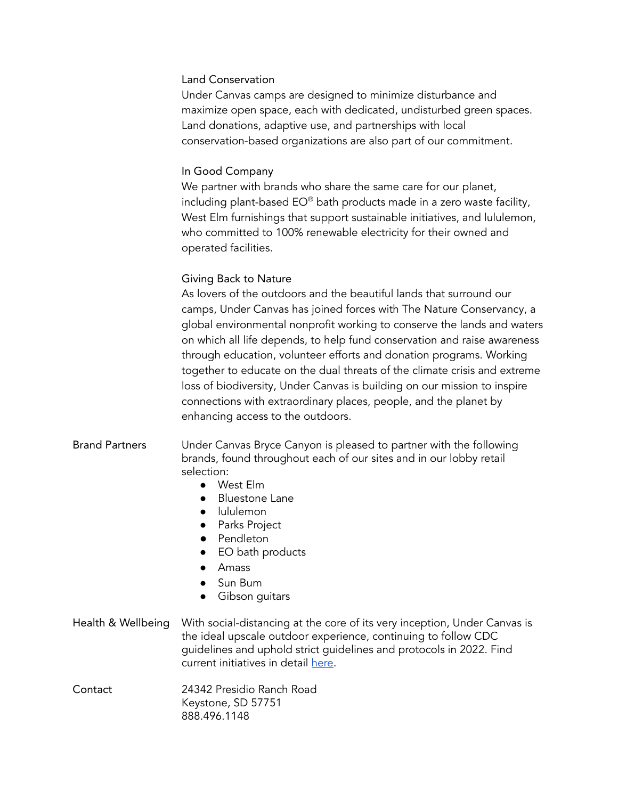### Land Conservation

Under Canvas camps are designed to minimize disturbance and maximize open space, each with dedicated, undisturbed green spaces. Land donations, adaptive use, and partnerships with local conservation-based organizations are also part of our commitment.

## In Good Company

We partner with brands who share the same care for our planet, including plant-based EO® bath products made in a zero waste facility, West Elm furnishings that support sustainable initiatives, and lululemon, who committed to 100% renewable electricity for their owned and operated facilities.

# Giving Back to Nature

As lovers of the outdoors and the beautiful lands that surround our camps, Under Canvas has joined forces with The Nature Conservancy, a global environmental nonprofit working to conserve the lands and waters on which all life depends, to help fund conservation and raise awareness through education, volunteer efforts and donation programs. Working together to educate on the dual threats of the climate crisis and extreme loss of biodiversity, Under Canvas is building on our mission to inspire connections with extraordinary places, people, and the planet by enhancing access to the outdoors.

- Brand Partners Under Canvas Bryce Canyon is pleased to partner with the following brands, found throughout each of our sites and in our lobby retail selection:
	- West Elm
	- Bluestone Lane
	- lululemon
	- Parks Project
	- Pendleton
	- EO bath products
	- Amass
	- Sun Bum
	- Gibson guitars

## Health & Wellbeing With social-distancing at the core of its very inception, Under Canvas is the ideal upscale outdoor experience, continuing to follow CDC guidelines and uphold strict guidelines and protocols in 2022. Find current initiatives in detail [here.](https://www.undercanvas.com/health-wellbeing/)

Contact 24342 Presidio Ranch Road Keystone, SD 57751 888.496.1148